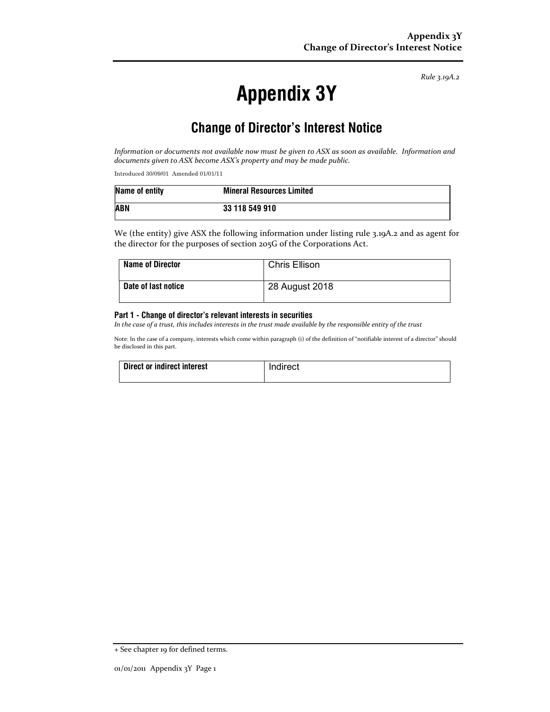Rule 3.19A.2

# Appendix 3Y

# Change of Director's Interest Notice

Information or documents not available now must be given to ASX as soon as available. Information and documents given to ASX become ASX's property and may be made public.

Introduced 30/09/01 Amended 01/01/11

| Name of entity | <b>Mineral Resources Limited</b> |
|----------------|----------------------------------|
| <b>ABN</b>     | 33 118 549 910                   |

We (the entity) give ASX the following information under listing rule 3.19A.2 and as agent for the director for the purposes of section 205G of the Corporations Act.

| <b>Name of Director</b> | <b>Chris Ellison</b> |
|-------------------------|----------------------|
| Date of last notice     | 28 August 2018       |

#### Part 1 - Change of director's relevant interests in securities

In the case of a trust, this includes interests in the trust made available by the responsible entity of the trust

Note: In the case of a company, interests which come within paragraph (i) of the definition of "notifiable interest of a director" should be disclosed in this part.

| Direct or indirect interest | Indirect |
|-----------------------------|----------|
|                             |          |

<sup>+</sup> See chapter 19 for defined terms.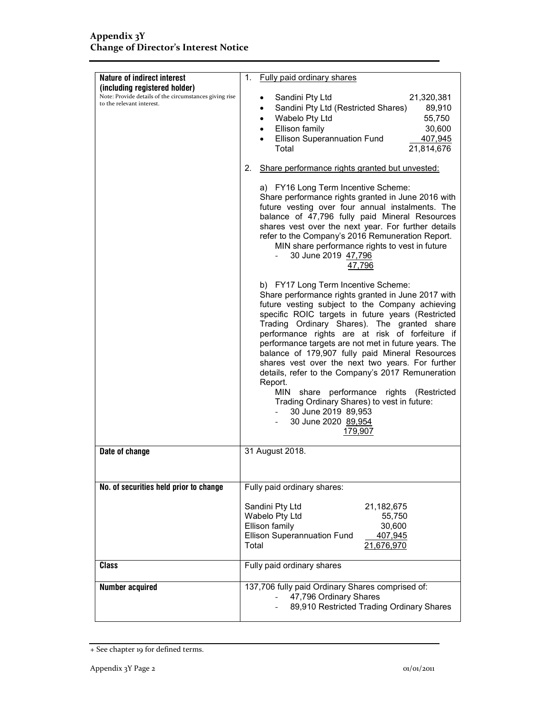| <b>Nature of indirect interest</b>                                                  | Fully paid ordinary shares<br>1.                                                                                                                                                                                                                                                                                                                                                                                                                                                                                                                                                                                                                                                             |
|-------------------------------------------------------------------------------------|----------------------------------------------------------------------------------------------------------------------------------------------------------------------------------------------------------------------------------------------------------------------------------------------------------------------------------------------------------------------------------------------------------------------------------------------------------------------------------------------------------------------------------------------------------------------------------------------------------------------------------------------------------------------------------------------|
| (including registered holder)                                                       |                                                                                                                                                                                                                                                                                                                                                                                                                                                                                                                                                                                                                                                                                              |
| Note: Provide details of the circumstances giving rise<br>to the relevant interest. | Sandini Pty Ltd<br>21,320,381<br>$\bullet$<br>Sandini Pty Ltd (Restricted Shares)<br>89,910<br>$\bullet$<br>Wabelo Pty Ltd<br>55,750<br>$\bullet$<br>Ellison family<br>30,600<br>$\bullet$<br><b>Ellison Superannuation Fund</b><br>407,945<br>Total<br>21,814,676                                                                                                                                                                                                                                                                                                                                                                                                                           |
|                                                                                     | Share performance rights granted but unvested:<br>2.                                                                                                                                                                                                                                                                                                                                                                                                                                                                                                                                                                                                                                         |
|                                                                                     | a) FY16 Long Term Incentive Scheme:<br>Share performance rights granted in June 2016 with<br>future vesting over four annual instalments. The<br>balance of 47,796 fully paid Mineral Resources<br>shares vest over the next year. For further details<br>refer to the Company's 2016 Remuneration Report.<br>MIN share performance rights to vest in future<br>30 June 2019 47,796<br>$\mathbf{L}$<br>47,796                                                                                                                                                                                                                                                                                |
|                                                                                     | b) FY17 Long Term Incentive Scheme:<br>Share performance rights granted in June 2017 with<br>future vesting subject to the Company achieving<br>specific ROIC targets in future years (Restricted<br>Trading Ordinary Shares). The granted share<br>performance rights are at risk of forfeiture if<br>performance targets are not met in future years. The<br>balance of 179,907 fully paid Mineral Resources<br>shares vest over the next two years. For further<br>details, refer to the Company's 2017 Remuneration<br>Report.<br>share performance rights<br>MIN<br>(Restricted<br>Trading Ordinary Shares) to vest in future:<br>30 June 2019 89,953<br>30 June 2020 89,954<br>179,907 |
| Date of change                                                                      | 31 August 2018.                                                                                                                                                                                                                                                                                                                                                                                                                                                                                                                                                                                                                                                                              |
| No. of securities held prior to change                                              | Fully paid ordinary shares:                                                                                                                                                                                                                                                                                                                                                                                                                                                                                                                                                                                                                                                                  |
|                                                                                     | Sandini Pty Ltd<br>21,182,675<br>Wabelo Pty Ltd<br>55,750<br>30,600<br>Ellison family<br><b>Ellison Superannuation Fund</b><br>407,945<br>21,676,970<br>Total                                                                                                                                                                                                                                                                                                                                                                                                                                                                                                                                |
| <b>Class</b>                                                                        | Fully paid ordinary shares                                                                                                                                                                                                                                                                                                                                                                                                                                                                                                                                                                                                                                                                   |
| Number acquired                                                                     | 137,706 fully paid Ordinary Shares comprised of:<br>47,796 Ordinary Shares<br>89,910 Restricted Trading Ordinary Shares                                                                                                                                                                                                                                                                                                                                                                                                                                                                                                                                                                      |

<sup>+</sup> See chapter 19 for defined terms.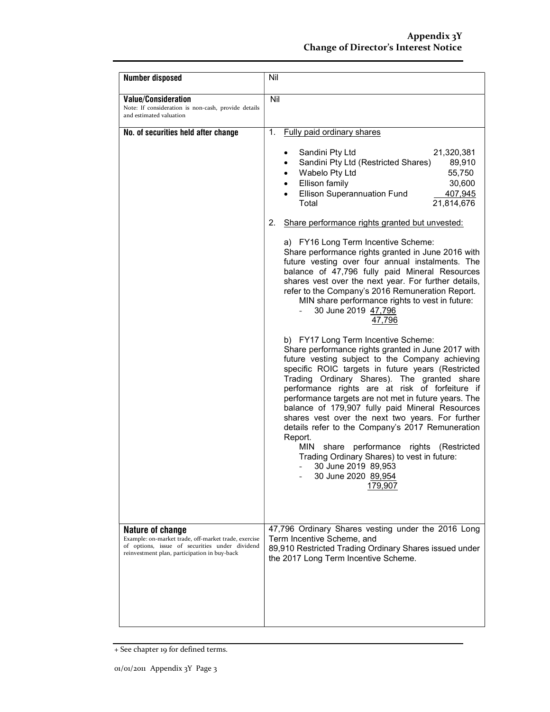| <b>Number disposed</b>                                                                                                                                                            | Nil                                                                                                                                                                                                                                                                                                                                                                                                                                                                                                                                                                                                                                                                                         |
|-----------------------------------------------------------------------------------------------------------------------------------------------------------------------------------|---------------------------------------------------------------------------------------------------------------------------------------------------------------------------------------------------------------------------------------------------------------------------------------------------------------------------------------------------------------------------------------------------------------------------------------------------------------------------------------------------------------------------------------------------------------------------------------------------------------------------------------------------------------------------------------------|
| <b>Value/Consideration</b><br>Note: If consideration is non-cash, provide details<br>and estimated valuation                                                                      | Nil                                                                                                                                                                                                                                                                                                                                                                                                                                                                                                                                                                                                                                                                                         |
| No. of securities held after change                                                                                                                                               | Fully paid ordinary shares<br>1.                                                                                                                                                                                                                                                                                                                                                                                                                                                                                                                                                                                                                                                            |
|                                                                                                                                                                                   | Sandini Pty Ltd<br>21,320,381<br>Sandini Pty Ltd (Restricted Shares)<br>89,910<br>$\bullet$<br>Wabelo Pty Ltd<br>55,750<br>$\bullet$<br>Ellison family<br>30,600<br>$\bullet$<br><b>Ellison Superannuation Fund</b><br>407,945<br>Total<br>21,814,676                                                                                                                                                                                                                                                                                                                                                                                                                                       |
|                                                                                                                                                                                   | Share performance rights granted but unvested:<br>2.                                                                                                                                                                                                                                                                                                                                                                                                                                                                                                                                                                                                                                        |
|                                                                                                                                                                                   | a) FY16 Long Term Incentive Scheme:<br>Share performance rights granted in June 2016 with<br>future vesting over four annual instalments. The<br>balance of 47,796 fully paid Mineral Resources<br>shares vest over the next year. For further details,<br>refer to the Company's 2016 Remuneration Report.<br>MIN share performance rights to vest in future:<br>30 June 2019 47,796<br>47.796                                                                                                                                                                                                                                                                                             |
|                                                                                                                                                                                   | b) FY17 Long Term Incentive Scheme:<br>Share performance rights granted in June 2017 with<br>future vesting subject to the Company achieving<br>specific ROIC targets in future years (Restricted<br>Trading Ordinary Shares). The granted share<br>performance rights are at risk of forfeiture if<br>performance targets are not met in future years. The<br>balance of 179,907 fully paid Mineral Resources<br>shares vest over the next two years. For further<br>details refer to the Company's 2017 Remuneration<br>Report.<br>MIN<br>performance rights (Restricted<br>share<br>Trading Ordinary Shares) to vest in future:<br>30 June 2019 89,953<br>30 June 2020 89,954<br>179,907 |
| <b>Nature of change</b><br>Example: on-market trade, off-market trade, exercise<br>of options, issue of securities under dividend<br>reinvestment plan, participation in buy-back | 47,796 Ordinary Shares vesting under the 2016 Long<br>Term Incentive Scheme, and<br>89,910 Restricted Trading Ordinary Shares issued under<br>the 2017 Long Term Incentive Scheme.                                                                                                                                                                                                                                                                                                                                                                                                                                                                                                          |
|                                                                                                                                                                                   |                                                                                                                                                                                                                                                                                                                                                                                                                                                                                                                                                                                                                                                                                             |

<sup>+</sup> See chapter 19 for defined terms.